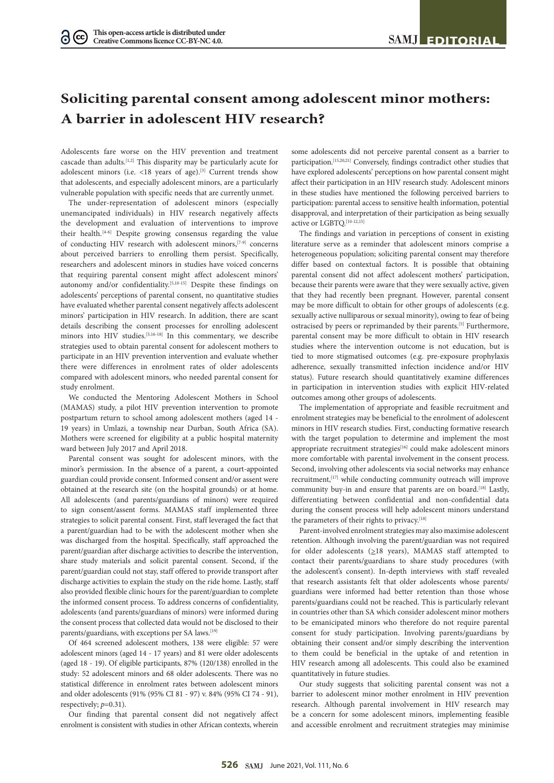# **Soliciting parental consent among adolescent minor mothers: A barrier in adolescent HIV research?**

Adolescents fare worse on the HIV prevention and treatment cascade than adults.[1,2] This disparity may be particularly acute for adolescent minors (i.e.  $\langle 18 \rangle$  years of age).<sup>[3]</sup> Current trends show that adolescents, and especially adolescent minors, are a particularly vulnerable population with specific needs that are currently unmet.

The under-representation of adolescent minors (especially unemancipated individuals) in HIV research negatively affects the development and evaluation of interventions to improve their health.[4-6] Despite growing consensus regarding the value of conducting HIV research with adolescent minors,[7-9] concerns about perceived barriers to enrolling them persist. Specifically, researchers and adolescent minors in studies have voiced concerns that requiring parental consent might affect adolescent minors' autonomy and/or confidentiality.<sup>[5,10-15]</sup> Despite these findings on adolescents' perceptions of parental consent, no quantitative studies have evaluated whether parental consent negatively affects adolescent minors' participation in HIV research. In addition, there are scant details describing the consent processes for enrolling adolescent minors into HIV studies.[5,16-18] In this commentary, we describe strategies used to obtain parental consent for adolescent mothers to participate in an HIV prevention intervention and evaluate whether there were differences in enrolment rates of older adolescents compared with adolescent minors, who needed parental consent for study enrolment.

We conducted the Mentoring Adolescent Mothers in School (MAMAS) study, a pilot HIV prevention intervention to promote postpartum return to school among adolescent mothers (aged 14 - 19 years) in Umlazi, a township near Durban, South Africa (SA). Mothers were screened for eligibility at a public hospital maternity ward between July 2017 and April 2018.

Parental consent was sought for adolescent minors, with the minor's permission. In the absence of a parent, a court-appointed guardian could provide consent. Informed consent and/or assent were obtained at the research site (on the hospital grounds) or at home. All adolescents (and parents/guardians of minors) were required to sign consent/assent forms. MAMAS staff implemented three strategies to solicit parental consent. First, staff leveraged the fact that a parent/guardian had to be with the adolescent mother when she was discharged from the hospital. Specifically, staff approached the parent/guardian after discharge activities to describe the intervention, share study materials and solicit parental consent. Second, if the parent/guardian could not stay, staff offered to provide transport after discharge activities to explain the study on the ride home. Lastly, staff also provided flexible clinic hours for the parent/guardian to complete the informed consent process. To address concerns of confidentiality, adolescents (and parents/guardians of minors) were informed during the consent process that collected data would not be disclosed to their parents/guardians, with exceptions per SA laws.<sup>[19]</sup>

Of 464 screened adolescent mothers, 138 were eligible: 57 were adolescent minors (aged 14 - 17 years) and 81 were older adolescents (aged 18 - 19). Of eligible participants, 87% (120/138) enrolled in the study: 52 adolescent minors and 68 older adolescents. There was no statistical difference in enrolment rates between adolescent minors and older adolescents (91% (95% CI 81 - 97) v. 84% (95% CI 74 - 91), respectively; *p*=0.31).

Our finding that parental consent did not negatively affect enrolment is consistent with studies in other African contexts, wherein

some adolescents did not perceive parental consent as a barrier to participation.[15,20,21] Conversely, findings contradict other studies that have explored adolescents' perceptions on how parental consent might affect their participation in an HIV research study. Adolescent minors in these studies have mentioned the following perceived barriers to participation: parental access to sensitive health information, potential disapproval, and interpretation of their participation as being sexually active or  ${\rm LGBTO}.^{\scriptscriptstyle [10\text{-}12,15]}$ 

The findings and variation in perceptions of consent in existing literature serve as a reminder that adolescent minors comprise a heterogeneous population; soliciting parental consent may therefore differ based on contextual factors. It is possible that obtaining parental consent did not affect adolescent mothers' participation, because their parents were aware that they were sexually active, given that they had recently been pregnant. However, parental consent may be more difficult to obtain for other groups of adolescents (e.g. sexually active nulliparous or sexual minority), owing to fear of being ostracised by peers or reprimanded by their parents.<sup>[5]</sup> Furthermore, parental consent may be more difficult to obtain in HIV research studies where the intervention outcome is not education, but is tied to more stigmatised outcomes (e.g. pre-exposure prophylaxis adherence, sexually transmitted infection incidence and/or HIV status). Future research should quantitatively examine differences in participation in intervention studies with explicit HIV-related outcomes among other groups of adolescents.

The implementation of appropriate and feasible recruitment and enrolment strategies may be beneficial to the enrolment of adolescent minors in HIV research studies. First, conducting formative research with the target population to determine and implement the most appropriate recruitment strategies<sup>[16]</sup> could make adolescent minors more comfortable with parental involvement in the consent process. Second, involving other adolescents via social networks may enhance recruitment, [17] while conducting community outreach will improve community buy-in and ensure that parents are on board.<sup>[18]</sup> Lastly, differentiating between confidential and non-confidential data during the consent process will help adolescent minors understand the parameters of their rights to privacy.<sup>[18]</sup>

Parent-involved enrolment strategies may also maximise adolescent retention. Although involving the parent/guardian was not required for older adolescents ( $\geq$ 18 years), MAMAS staff attempted to contact their parents/guardians to share study procedures (with the adolescent's consent). In-depth interviews with staff revealed that research assistants felt that older adolescents whose parents/ guardians were informed had better retention than those whose parents/guardians could not be reached. This is particularly relevant in countries other than SA which consider adolescent minor mothers to be emanicipated minors who therefore do not require parental consent for study participation. Involving parents/guardians by obtaining their consent and/or simply describing the intervention to them could be beneficial in the uptake of and retention in HIV research among all adolescents. This could also be examined quantitatively in future studies.

Our study suggests that soliciting parental consent was not a barrier to adolescent minor mother enrolment in HIV prevention research. Although parental involvement in HIV research may be a concern for some adolescent minors, implementing feasible and accessible enrolment and recruitment strategies may minimise